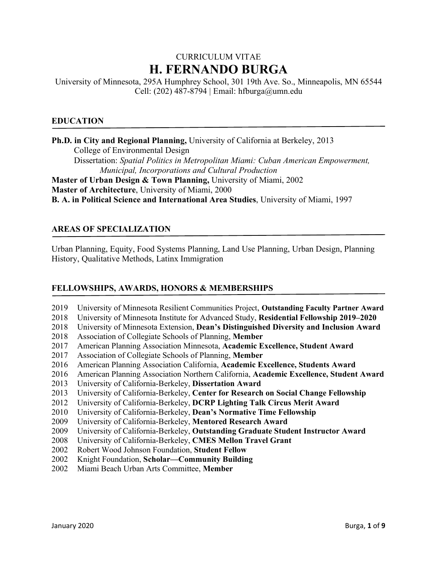# CURRICULUM VITAE **H. FERNANDO BURGA**

University of Minnesota, 295A Humphrey School, 301 19th Ave. So., Minneapolis, MN 65544 Cell: (202) 487-8794 | Email: hfburga@umn.edu

#### **EDUCATION**

**Ph.D. in City and Regional Planning,** University of California at Berkeley, 2013 College of Environmental Design Dissertation: *Spatial Politics in Metropolitan Miami: Cuban American Empowerment, Municipal, Incorporations and Cultural Production* **Master of Urban Design & Town Planning,** University of Miami, 2002 **Master of Architecture**, University of Miami, 2000 **B. A. in Political Science and International Area Studies**, University of Miami, 1997

#### **AREAS OF SPECIALIZATION**

Urban Planning, Equity, Food Systems Planning, Land Use Planning, Urban Design, Planning History, Qualitative Methods, Latinx Immigration

#### **FELLOWSHIPS, AWARDS, HONORS & MEMBERSHIPS**

- 2019 University of Minnesota Resilient Communities Project, **Outstanding Faculty Partner Award**
- 2018 University of Minnesota Institute for Advanced Study, **Residential Fellowship 2019–2020**
- 2018 University of Minnesota Extension, **Dean's Distinguished Diversity and Inclusion Award**
- 2018 Association of Collegiate Schools of Planning, **Member**
- 2017 American Planning Association Minnesota, **Academic Excellence, Student Award**
- 2017 Association of Collegiate Schools of Planning, **Member**
- 2016 American Planning Association California, **Academic Excellence, Students Award**
- 2016 American Planning Association Northern California, **Academic Excellence, Student Award**
- 2013 University of California-Berkeley, **Dissertation Award**
- 2013 University of California-Berkeley, **Center for Research on Social Change Fellowship**
- 2012 University of California-Berkeley, **DCRP Lighting Talk Circus Merit Award**
- 2010 University of California-Berkeley, **Dean's Normative Time Fellowship**
- 2009 University of California-Berkeley, **Mentored Research Award**
- 2009 University of California-Berkeley, **Outstanding Graduate Student Instructor Award**
- 2008 University of California-Berkeley, **CMES Mellon Travel Grant**
- 2002 Robert Wood Johnson Foundation, **Student Fellow**
- 2002 Knight Foundation, **Scholar—Community Building**
- 2002 Miami Beach Urban Arts Committee, **Member**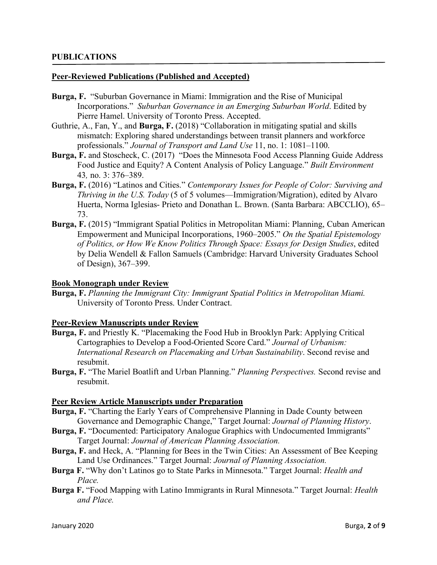#### **Peer-Reviewed Publications (Published and Accepted)**

- **Burga, F.** "Suburban Governance in Miami: Immigration and the Rise of Municipal Incorporations." *Suburban Governance in an Emerging Suburban World*. Edited by Pierre Hamel. University of Toronto Press. Accepted.
- Guthrie, A., Fan, Y., and **Burga, F.** (2018) "Collaboration in mitigating spatial and skills mismatch: Exploring shared understandings between transit planners and workforce professionals." *Journal of Transport and Land Use* 11, no. 1: 1081–1100.
- **Burga, F.** and Stoscheck, C. (2017) "Does the Minnesota Food Access Planning Guide Address Food Justice and Equity? A Content Analysis of Policy Language." *Built Environment* 43*,* no. 3: 376–389.
- **Burga, F.** (2016) "Latinos and Cities." *Contemporary Issues for People of Color: Surviving and Thriving in the U.S. Today* (5 of 5 volumes—Immigration/Migration), edited by Alvaro Huerta, Norma Iglesias- Prieto and Donathan L. Brown. (Santa Barbara: ABCCLIO), 65– 73.
- **Burga, F.** (2015) "Immigrant Spatial Politics in Metropolitan Miami: Planning, Cuban American Empowerment and Municipal Incorporations, 1960–2005." *On the Spatial Epistemology of Politics, or How We Know Politics Through Space: Essays for Design Studies*, edited by Delia Wendell & Fallon Samuels (Cambridge: Harvard University Graduates School of Design), 367–399.

#### **Book Monograph under Review**

**Burga, F.** *Planning the Immigrant City: Immigrant Spatial Politics in Metropolitan Miami.* University of Toronto Press. Under Contract.

#### **Peer-Review Manuscripts under Review**

- **Burga, F.** and Priestly K. "Placemaking the Food Hub in Brooklyn Park: Applying Critical Cartographies to Develop a Food-Oriented Score Card." *Journal of Urbanism: International Research on Placemaking and Urban Sustainability*. Second revise and resubmit.
- **Burga, F.** "The Mariel Boatlift and Urban Planning." *Planning Perspectives.* Second revise and resubmit.

#### **Peer Review Article Manuscripts under Preparation**

- **Burga, F.** "Charting the Early Years of Comprehensive Planning in Dade County between Governance and Demographic Change," Target Journal: *Journal of Planning History*.
- **Burga, F.** "Documented: Participatory Analogue Graphics with Undocumented Immigrants" Target Journal: *Journal of American Planning Association.*
- **Burga, F.** and Heck, A. "Planning for Bees in the Twin Cities: An Assessment of Bee Keeping Land Use Ordinances." Target Journal: *Journal of Planning Association.*
- **Burga F.** "Why don't Latinos go to State Parks in Minnesota." Target Journal: *Health and Place.*
- **Burga F.** "Food Mapping with Latino Immigrants in Rural Minnesota." Target Journal: *Health and Place.*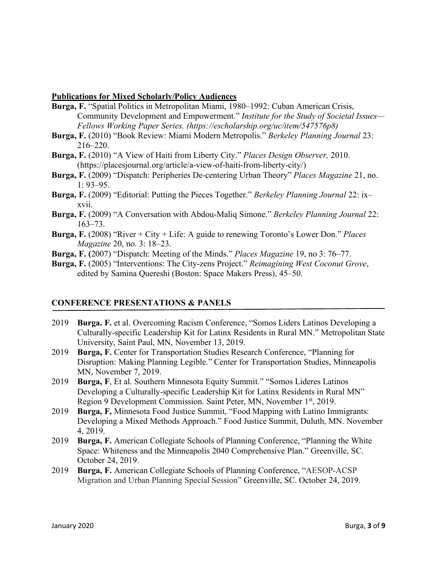#### **Publications for Mixed Scholarly/Policy Audiences**

- **Burga, F.** "Spatial Politics in Metropolitan Miami, 1980–1992: Cuban American Crisis, Community Development and Empowerment." *Institute for the Study of Societal Issues— Fellows Working Paper Series. (https://escholarship.org/uc/item/547576p8)*
- **Burga, F.** (2010) "Book Review: Miami Modern Metropolis." *Berkeley Planning Journal* 23: 216–220.
- **Burga, F.** (2010) "A View of Haiti from Liberty City." *Places Design Observer,* 2010. (https://placesjournal.org/article/a-view-of-haiti-from-liberty-city/)
- **Burga, F.** (2009) "Dispatch: Peripheries De-centering Urban Theory" *Places Magazine* 21, no. 1: 93–95.
- **Burga, F.** (2009) "Editorial: Putting the Pieces Together." *Berkeley Planning Journal* 22: ix– xvii.
- **Burga, F.** (2009) "A Conversation with Abdou-Maliq Simone." *Berkeley Planning Journal* 22: 163–73.
- **Burga, F.** (2008) "River + City + Life: A guide to renewing Toronto's Lower Don." *Places Magazine* 20, no. 3: 18–23.
- **Burga, F. (**2007) "Dispatch: Meeting of the Minds." *Places Magazine* 19, no 3: 76–77.
- **Burga, F.** (2005) "Interventions: The City-zens Project." *Reimagining West Coconut Grove*, edited by Samina Quereshi (Boston: Space Makers Press), 45–50.

## **CONFERENCE PRESENTATIONS & PANELS**

- 2019 **Burga. F.** et al. Overcoming Racism Conference, "Somos Liders Latinos Developing a Culturally-specific Leadership Kit for Latinx Residents in Rural MN." Metropolitan State University, Saint Paul, MN, November 13, 2019.
- 2019 **Burga, F.** Center for Transportation Studies Research Conference, "Planning for Disruption: Making Planning Legible." Center for Transportation Studies, Minneapolis MN, November 7, 2019.
- 2019 **Burga, F**, Et al. Southern Minnesota Equity Summit." "Somos Lideres Latinos Developing a Culturally-specific Leadership Kit for Latinx Residents in Rural MN" Region 9 Development Commission. Saint Peter, MN, November 1<sup>st</sup>, 2019.
- 2019 **Burga, F,** Minnesota Food Justice Summit, "Food Mapping with Latino Immigrants: Developing a Mixed Methods Approach." Food Justice Summit, Duluth, MN. November 4, 2019.
- 2019 **Burga, F.** American Collegiate Schools of Planning Conference, "Planning the White Space: Whiteness and the Minneapolis 2040 Comprehensive Plan." Greenville, SC. October 24, 2019.
- 2019 **Burga, F.** American Collegiate Schools of Planning Conference, "AESOP-ACSP Migration and Urban Planning Special Session" Greenville, SC. October 24, 2019.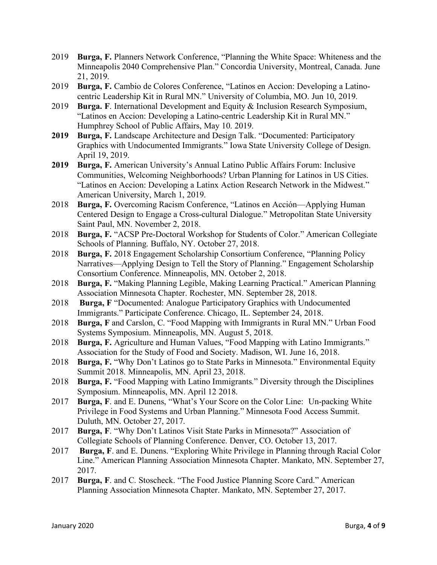- 2019 **Burga, F.** Planners Network Conference, "Planning the White Space: Whiteness and the Minneapolis 2040 Comprehensive Plan." Concordia University, Montreal, Canada. June 21, 2019.
- 2019 **Burga, F.** Cambio de Colores Conference, "Latinos en Accion: Developing a Latinocentric Leadership Kit in Rural MN." University of Columbia, MO. Jun 10, 2019.
- 2019 **Burga. F**. International Development and Equity & Inclusion Research Symposium, "Latinos en Accion: Developing a Latino-centric Leadership Kit in Rural MN." Humphrey School of Public Affairs, May 10. 2019.
- **2019 Burga, F.** Landscape Architecture and Design Talk. "Documented: Participatory Graphics with Undocumented Immigrants." Iowa State University College of Design. April 19, 2019.
- **2019 Burga, F.** American University's Annual Latino Public Affairs Forum: Inclusive Communities, Welcoming Neighborhoods? Urban Planning for Latinos in US Cities. "Latinos en Accion: Developing a Latinx Action Research Network in the Midwest." American University, March 1, 2019.
- 2018 **Burga, F.** Overcoming Racism Conference, "Latinos en Acción—Applying Human Centered Design to Engage a Cross-cultural Dialogue." Metropolitan State University Saint Paul, MN. November 2, 2018.
- 2018 **Burga, F.** "ACSP Pre-Doctoral Workshop for Students of Color." American Collegiate Schools of Planning. Buffalo, NY. October 27, 2018.
- 2018 **Burga, F.** 2018 Engagement Scholarship Consortium Conference, "Planning Policy Narratives—Applying Design to Tell the Story of Planning." Engagement Scholarship Consortium Conference. Minneapolis, MN. October 2, 2018.
- 2018 **Burga, F.** "Making Planning Legible, Making Learning Practical." American Planning Association Minnesota Chapter. Rochester, MN. September 28, 2018.
- 2018 **Burga, F** "Documented: Analogue Participatory Graphics with Undocumented Immigrants." Participate Conference. Chicago, IL. September 24, 2018.
- 2018 **Burga, F** and Carslon, C. "Food Mapping with Immigrants in Rural MN." Urban Food Systems Symposium. Minneapolis, MN. August 5, 2018.
- 2018 **Burga, F.** Agriculture and Human Values, "Food Mapping with Latino Immigrants." Association for the Study of Food and Society. Madison, WI. June 16, 2018.
- 2018 **Burga, F.** "Why Don't Latinos go to State Parks in Minnesota." Environmental Equity Summit 2018. Minneapolis, MN. April 23, 2018.
- 2018 **Burga, F.** "Food Mapping with Latino Immigrants." Diversity through the Disciplines Symposium. Minneapolis, MN. April 12 2018.
- 2017 **Burga, F**. and E. Dunens, "What's Your Score on the Color Line: Un-packing White Privilege in Food Systems and Urban Planning." Minnesota Food Access Summit. Duluth, MN. October 27, 2017.
- 2017 **Burga, F**. "Why Don't Latinos Visit State Parks in Minnesota?" Association of Collegiate Schools of Planning Conference. Denver, CO. October 13, 2017.
- 2017 **Burga, F**. and E. Dunens. "Exploring White Privilege in Planning through Racial Color Line." American Planning Association Minnesota Chapter. Mankato, MN. September 27, 2017.
- 2017 **Burga, F**. and C. Stoscheck. "The Food Justice Planning Score Card." American Planning Association Minnesota Chapter. Mankato, MN. September 27, 2017.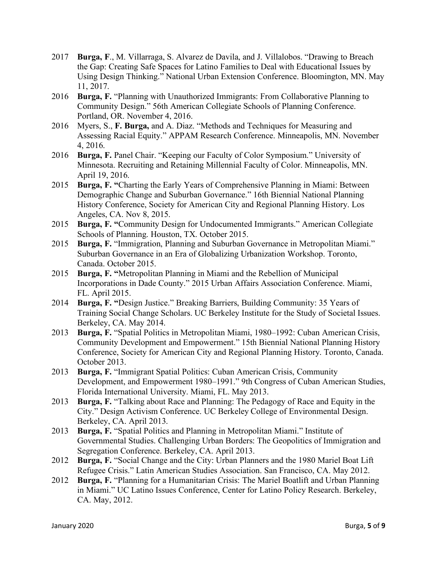- 2017 **Burga, F**., M. Villarraga, S. Alvarez de Davila, and J. Villalobos. "Drawing to Breach the Gap: Creating Safe Spaces for Latino Families to Deal with Educational Issues by Using Design Thinking." National Urban Extension Conference. Bloomington, MN. May 11, 2017.
- 2016 **Burga, F.** "Planning with Unauthorized Immigrants: From Collaborative Planning to Community Design." 56th American Collegiate Schools of Planning Conference. Portland, OR. November 4, 2016.
- 2016 Myers, S., **F. Burga,** and A. Diaz. "Methods and Techniques for Measuring and Assessing Racial Equity." APPAM Research Conference. Minneapolis, MN. November 4, 2016.
- 2016 **Burga, F.** Panel Chair. "Keeping our Faculty of Color Symposium." University of Minnesota. Recruiting and Retaining Millennial Faculty of Color. Minneapolis, MN. April 19, 2016.
- 2015 **Burga, F. "**Charting the Early Years of Comprehensive Planning in Miami: Between Demographic Change and Suburban Governance." 16th Biennial National Planning History Conference, Society for American City and Regional Planning History. Los Angeles, CA. Nov 8, 2015.
- 2015 **Burga, F. "**Community Design for Undocumented Immigrants." American Collegiate Schools of Planning. Houston, TX. October 2015.
- 2015 **Burga, F.** "Immigration, Planning and Suburban Governance in Metropolitan Miami." Suburban Governance in an Era of Globalizing Urbanization Workshop. Toronto, Canada. October 2015.
- 2015 **Burga, F. "**Metropolitan Planning in Miami and the Rebellion of Municipal Incorporations in Dade County." 2015 Urban Affairs Association Conference. Miami, FL. April 2015.
- 2014 **Burga, F. "**Design Justice." Breaking Barriers, Building Community: 35 Years of Training Social Change Scholars. UC Berkeley Institute for the Study of Societal Issues. Berkeley, CA. May 2014.
- 2013 **Burga, F.** "Spatial Politics in Metropolitan Miami, 1980–1992: Cuban American Crisis, Community Development and Empowerment." 15th Biennial National Planning History Conference, Society for American City and Regional Planning History. Toronto, Canada. October 2013.
- 2013 **Burga, F.** "Immigrant Spatial Politics: Cuban American Crisis, Community Development, and Empowerment 1980–1991." 9th Congress of Cuban American Studies, Florida International University. Miami, FL. May 2013.
- 2013 **Burga, F.** "Talking about Race and Planning: The Pedagogy of Race and Equity in the City." Design Activism Conference. UC Berkeley College of Environmental Design. Berkeley, CA. April 2013.
- 2013 **Burga, F.** "Spatial Politics and Planning in Metropolitan Miami." Institute of Governmental Studies. Challenging Urban Borders: The Geopolitics of Immigration and Segregation Conference. Berkeley, CA. April 2013.
- 2012 **Burga, F.** "Social Change and the City: Urban Planners and the 1980 Mariel Boat Lift Refugee Crisis." Latin American Studies Association. San Francisco, CA. May 2012.
- 2012 **Burga, F.** "Planning for a Humanitarian Crisis: The Mariel Boatlift and Urban Planning in Miami." UC Latino Issues Conference, Center for Latino Policy Research. Berkeley, CA. May, 2012.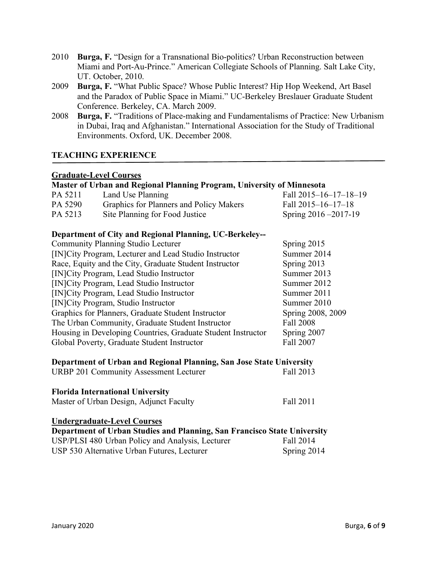- 2010 **Burga, F.** "Design for a Transnational Bio-politics? Urban Reconstruction between Miami and Port-Au-Prince." American Collegiate Schools of Planning. Salt Lake City, UT. October, 2010.
- 2009 **Burga, F.** "What Public Space? Whose Public Interest? Hip Hop Weekend, Art Basel and the Paradox of Public Space in Miami." UC-Berkeley Breslauer Graduate Student Conference. Berkeley, CA. March 2009.
- 2008 **Burga, F.** "Traditions of Place-making and Fundamentalisms of Practice: New Urbanism in Dubai, Iraq and Afghanistan." International Association for the Study of Traditional Environments. Oxford, UK. December 2008.

#### **TEACHING EXPERIENCE**

# **Graduate-Level Courses**

|                                                              | <b>Grauuale-Level Courses</b>                                            |                       |
|--------------------------------------------------------------|--------------------------------------------------------------------------|-----------------------|
|                                                              | Master of Urban and Regional Planning Program, University of Minnesota   |                       |
| PA 5211                                                      | Land Use Planning                                                        | Fall 2015-16-17-18-19 |
| PA 5290                                                      | Graphics for Planners and Policy Makers                                  | Fall 2015-16-17-18    |
| PA 5213                                                      | Site Planning for Food Justice                                           | Spring 2016 - 2017-19 |
|                                                              | Department of City and Regional Planning, UC-Berkeley--                  |                       |
| <b>Community Planning Studio Lecturer</b>                    |                                                                          | Spring 2015           |
| [IN] City Program, Lecturer and Lead Studio Instructor       |                                                                          | Summer 2014           |
| Race, Equity and the City, Graduate Student Instructor       |                                                                          | Spring 2013           |
| [IN] City Program, Lead Studio Instructor                    |                                                                          | Summer 2013           |
| [IN] City Program, Lead Studio Instructor                    |                                                                          | Summer 2012           |
| [IN] City Program, Lead Studio Instructor                    |                                                                          | Summer 2011           |
| [IN] City Program, Studio Instructor                         |                                                                          | Summer 2010           |
| Graphics for Planners, Graduate Student Instructor           |                                                                          | Spring 2008, 2009     |
| The Urban Community, Graduate Student Instructor             |                                                                          | Fall 2008             |
| Housing in Developing Countries, Graduate Student Instructor |                                                                          | Spring 2007           |
| Global Poverty, Graduate Student Instructor                  |                                                                          | Fall 2007             |
|                                                              | Department of Urban and Regional Planning, San Jose State University     |                       |
| <b>URBP 201 Community Assessment Lecturer</b>                |                                                                          | Fall 2013             |
|                                                              | <b>Florida International University</b>                                  |                       |
| Master of Urban Design, Adjunct Faculty                      |                                                                          | Fall 2011             |
|                                                              | <b>Undergraduate-Level Courses</b>                                       |                       |
|                                                              | Department of Urban Studies and Planning, San Francisco State University |                       |
|                                                              |                                                                          |                       |

USP/PLSI 480 Urban Policy and Analysis, Lecturer Fall 2014 USP 530 Alternative Urban Futures, Lecturer Spring 2014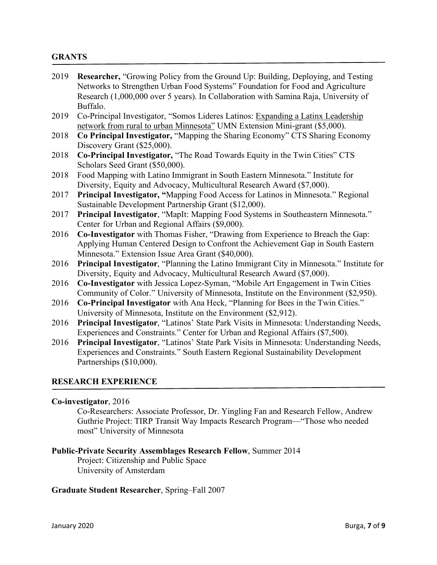#### **GRANTS**

- 2019 **Researcher,** "Growing Policy from the Ground Up: Building, Deploying, and Testing Networks to Strengthen Urban Food Systems" Foundation for Food and Agriculture Research (1,000,000 over 5 years). In Collaboration with Samina Raja, University of Buffalo.
- 2019 Co-Principal Investigator, "Somos Lideres Latinos: Expanding a Latinx Leadership network from rural to urban Minnesota" UMN Extension Mini-grant (\$5,000).
- 2018 **Co Principal Investigator,** "Mapping the Sharing Economy" CTS Sharing Economy Discovery Grant (\$25,000).
- 2018 **Co-Principal Investigator,** "The Road Towards Equity in the Twin Cities" CTS Scholars Seed Grant (\$50,000).
- 2018 Food Mapping with Latino Immigrant in South Eastern Minnesota." Institute for Diversity, Equity and Advocacy, Multicultural Research Award (\$7,000).
- 2017 **Principal Investigator, "**Mapping Food Access for Latinos in Minnesota." Regional Sustainable Development Partnership Grant (\$12,000).
- 2017 **Principal Investigator**, "MapIt: Mapping Food Systems in Southeastern Minnesota." Center for Urban and Regional Affairs (\$9,000).
- 2016 **Co-Investigator** with Thomas Fisher, "Drawing from Experience to Breach the Gap: Applying Human Centered Design to Confront the Achievement Gap in South Eastern Minnesota." Extension Issue Area Grant (\$40,000).
- 2016 **Principal Investigator**, "Planning the Latino Immigrant City in Minnesota." Institute for Diversity, Equity and Advocacy, Multicultural Research Award (\$7,000).
- 2016 **Co-Investigator** with Jessica Lopez-Syman, "Mobile Art Engagement in Twin Cities Community of Color." University of Minnesota, Institute on the Environment (\$2,950).
- 2016 **Co-Principal Investigator** with Ana Heck, "Planning for Bees in the Twin Cities." University of Minnesota, Institute on the Environment (\$2,912).
- 2016 **Principal Investigator**, "Latinos' State Park Visits in Minnesota: Understanding Needs, Experiences and Constraints." Center for Urban and Regional Affairs (\$7,500).
- 2016 **Principal Investigator**, "Latinos' State Park Visits in Minnesota: Understanding Needs, Experiences and Constraints." South Eastern Regional Sustainability Development Partnerships (\$10,000).

#### **RESEARCH EXPERIENCE**

#### **Co-investigator**, 2016

Co-Researchers: Associate Professor, Dr. Yingling Fan and Research Fellow, Andrew Guthrie Project: TIRP Transit Way Impacts Research Program—"Those who needed most" University of Minnesota

#### **Public-Private Security Assemblages Research Fellow**, Summer 2014

Project: Citizenship and Public Space University of Amsterdam

#### **Graduate Student Researcher**, Spring–Fall 2007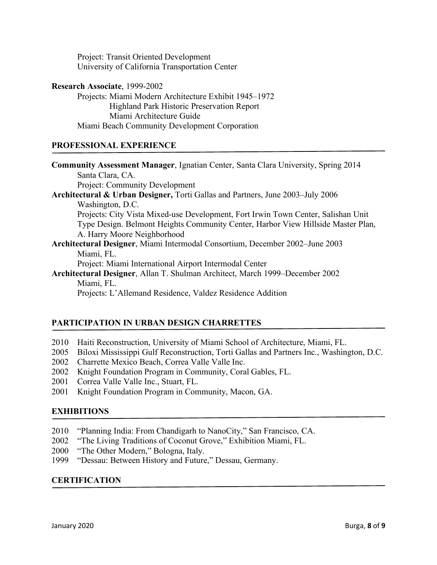Project: Transit Oriented Development University of California Transportation Center

**Research Associate**, 1999-2002 Projects: Miami Modern Architecture Exhibit 1945–1972 Highland Park Historic Preservation Report Miami Architecture Guide Miami Beach Community Development Corporation

#### **PROFESSIONAL EXPERIENCE**

| <b>Community Assessment Manager, Ignatian Center, Santa Clara University, Spring 2014</b> |
|-------------------------------------------------------------------------------------------|
| Santa Clara, CA.                                                                          |
| <b>Project: Community Development</b>                                                     |
| <b>Architectural &amp; Urban Designer, Torti Gallas and Partners, June 2003–July 2006</b> |
| Washington, D.C.                                                                          |
| Projects: City Vista Mixed-use Development, Fort Irwin Town Center, Salishan Unit         |
| Type Design. Belmont Heights Community Center, Harbor View Hillside Master Plan,          |
| A. Harry Moore Neighborhood                                                               |
| <b>Architectural Designer, Miami Intermodal Consortium, December 2002–June 2003</b>       |
| Miami, FL.                                                                                |
| Project: Miami International Airport Intermodal Center                                    |
| Architectural Designer, Allan T. Shulman Architect, March 1999–December 2002              |
| Miami, FL.                                                                                |
| Projects: L'Allemand Residence, Valdez Residence Addition                                 |

## **PARTICIPATION IN URBAN DESIGN CHARRETTES**

- 2010 Haiti Reconstruction, University of Miami School of Architecture, Miami, FL.
- 2005 Biloxi Mississippi Gulf Reconstruction, Torti Gallas and Partners Inc., Washington, D.C.
- 2002 Charrette Mexico Beach, Correa Valle Valle Inc.
- 2002 Knight Foundation Program in Community, Coral Gables, FL.
- 2001 Correa Valle Valle Inc., Stuart, FL.
- 2001 Knight Foundation Program in Community, Macon, GA.

#### **EXHIBITIONS**

- 2010 "Planning India: From Chandigarh to NanoCity," San Francisco, CA.
- 2002 "The Living Traditions of Coconut Grove," Exhibition Miami, FL.
- 2000 "The Other Modern," Bologna, Italy.
- 1999 "Dessau: Between History and Future," Dessau, Germany.

#### **CERTIFICATION**